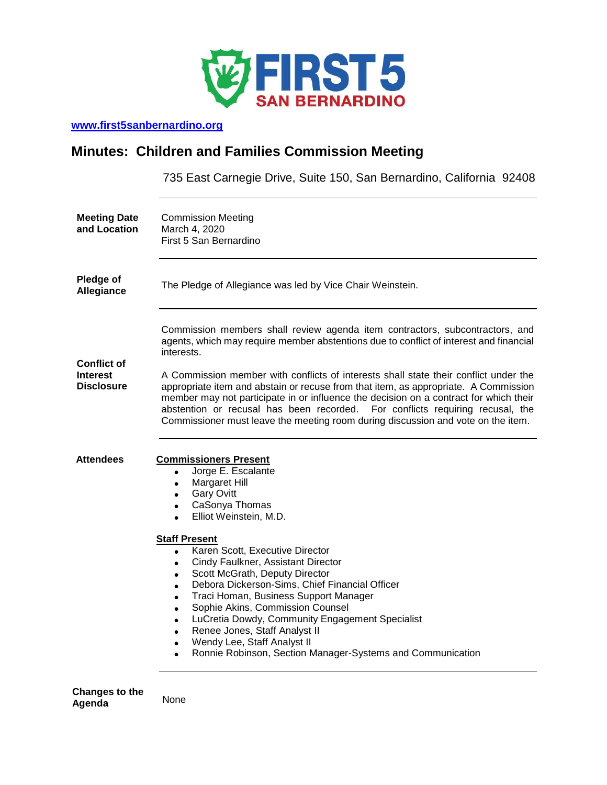

## **[www.first5sanbernardino.org](http://www.first5sanbernardino.org/)**

# **Minutes: Children and Families Commission Meeting**

735 East Carnegie Drive, Suite 150, San Bernardino, California 92408

| <b>Meeting Date</b><br>and Location                        | <b>Commission Meeting</b><br>March 4, 2020<br>First 5 San Bernardino                                                                                                                                                                                                                                                                                                                                                                                                                                                                                                                                                                                                                                                                                                                       |
|------------------------------------------------------------|--------------------------------------------------------------------------------------------------------------------------------------------------------------------------------------------------------------------------------------------------------------------------------------------------------------------------------------------------------------------------------------------------------------------------------------------------------------------------------------------------------------------------------------------------------------------------------------------------------------------------------------------------------------------------------------------------------------------------------------------------------------------------------------------|
| <b>Pledge of</b><br>Allegiance                             | The Pledge of Allegiance was led by Vice Chair Weinstein.                                                                                                                                                                                                                                                                                                                                                                                                                                                                                                                                                                                                                                                                                                                                  |
| <b>Conflict of</b><br><b>Interest</b><br><b>Disclosure</b> | Commission members shall review agenda item contractors, subcontractors, and<br>agents, which may require member abstentions due to conflict of interest and financial<br>interests.<br>A Commission member with conflicts of interests shall state their conflict under the<br>appropriate item and abstain or recuse from that item, as appropriate. A Commission<br>member may not participate in or influence the decision on a contract for which their<br>abstention or recusal has been recorded.<br>For conflicts requiring recusal, the<br>Commissioner must leave the meeting room during discussion and vote on the item.                                                                                                                                                       |
| <b>Attendees</b>                                           | <b>Commissioners Present</b><br>Jorge E. Escalante<br>$\bullet$<br>Margaret Hill<br>$\bullet$<br><b>Gary Ovitt</b><br>$\bullet$<br>CaSonya Thomas<br>$\bullet$<br>Elliot Weinstein, M.D.<br>$\bullet$<br><b>Staff Present</b><br>Karen Scott, Executive Director<br>$\bullet$<br>Cindy Faulkner, Assistant Director<br>$\bullet$<br>Scott McGrath, Deputy Director<br>$\bullet$<br>Debora Dickerson-Sims, Chief Financial Officer<br>$\bullet$<br>Traci Homan, Business Support Manager<br>$\bullet$<br>Sophie Akins, Commission Counsel<br>$\bullet$<br>LuCretia Dowdy, Community Engagement Specialist<br>$\bullet$<br>Renee Jones, Staff Analyst II<br>$\bullet$<br>Wendy Lee, Staff Analyst II<br>$\bullet$<br>Ronnie Robinson, Section Manager-Systems and Communication<br>$\bullet$ |

**Changes to the Agenda** None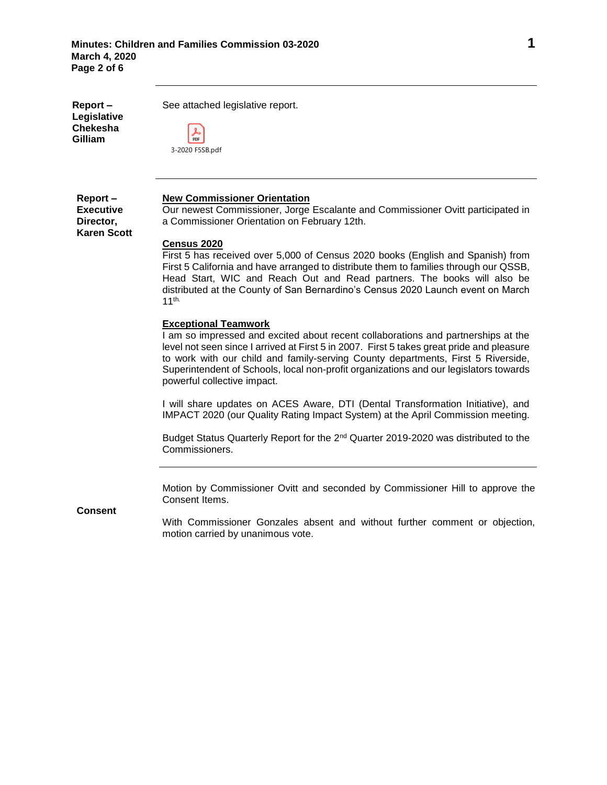**Report – Legislative Chekesha Gilliam**

See attached legislative report.

|  | 3-2020 F5SB.pdf |
|--|-----------------|

#### **New Commissioner Orientation**

**Report – Executive Director, Karen Scott**

Our newest Commissioner, Jorge Escalante and Commissioner Ovitt participated in a Commissioner Orientation on February 12th.

### **Census 2020**

First 5 has received over 5,000 of Census 2020 books (English and Spanish) from First 5 California and have arranged to distribute them to families through our QSSB, Head Start, WIC and Reach Out and Read partners. The books will also be distributed at the County of San Bernardino's Census 2020 Launch event on March 11th.

#### **Exceptional Teamwork**

I am so impressed and excited about recent collaborations and partnerships at the level not seen since I arrived at First 5 in 2007. First 5 takes great pride and pleasure to work with our child and family-serving County departments, First 5 Riverside, Superintendent of Schools, local non-profit organizations and our legislators towards powerful collective impact.

I will share updates on ACES Aware, DTI (Dental Transformation Initiative), and IMPACT 2020 (our Quality Rating Impact System) at the April Commission meeting.

Budget Status Quarterly Report for the 2<sup>nd</sup> Quarter 2019-2020 was distributed to the Commissioners.

Motion by Commissioner Ovitt and seconded by Commissioner Hill to approve the Consent Items.

**Consent**

With Commissioner Gonzales absent and without further comment or objection, motion carried by unanimous vote.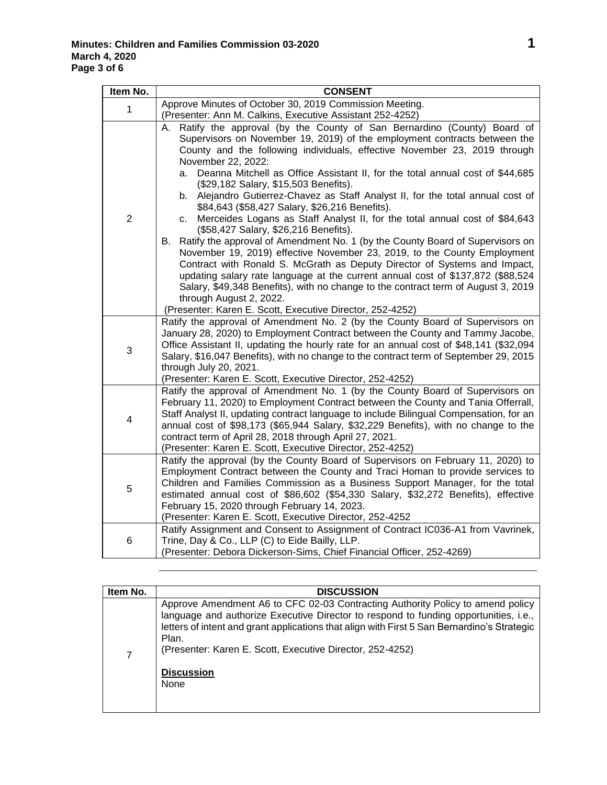| Item No.       | <b>CONSENT</b>                                                                                                                                                                                                                                                                                                                                                                                                                                                                                                                                                                                                                                                                                                                                                                                                                                                                                                                                                                                                                                                                                                  |
|----------------|-----------------------------------------------------------------------------------------------------------------------------------------------------------------------------------------------------------------------------------------------------------------------------------------------------------------------------------------------------------------------------------------------------------------------------------------------------------------------------------------------------------------------------------------------------------------------------------------------------------------------------------------------------------------------------------------------------------------------------------------------------------------------------------------------------------------------------------------------------------------------------------------------------------------------------------------------------------------------------------------------------------------------------------------------------------------------------------------------------------------|
| 1              | Approve Minutes of October 30, 2019 Commission Meeting.                                                                                                                                                                                                                                                                                                                                                                                                                                                                                                                                                                                                                                                                                                                                                                                                                                                                                                                                                                                                                                                         |
|                | (Presenter: Ann M. Calkins, Executive Assistant 252-4252)                                                                                                                                                                                                                                                                                                                                                                                                                                                                                                                                                                                                                                                                                                                                                                                                                                                                                                                                                                                                                                                       |
| $\overline{2}$ | A. Ratify the approval (by the County of San Bernardino (County) Board of<br>Supervisors on November 19, 2019) of the employment contracts between the<br>County and the following individuals, effective November 23, 2019 through<br>November 22, 2022:<br>Deanna Mitchell as Office Assistant II, for the total annual cost of \$44,685<br>a.<br>(\$29,182 Salary, \$15,503 Benefits).<br>Alejandro Gutierrez-Chavez as Staff Analyst II, for the total annual cost of<br>b.<br>\$84,643 (\$58,427 Salary, \$26,216 Benefits).<br>Merceides Logans as Staff Analyst II, for the total annual cost of \$84,643<br>c.<br>(\$58,427 Salary, \$26,216 Benefits).<br>B. Ratify the approval of Amendment No. 1 (by the County Board of Supervisors on<br>November 19, 2019) effective November 23, 2019, to the County Employment<br>Contract with Ronald S. McGrath as Deputy Director of Systems and Impact,<br>updating salary rate language at the current annual cost of \$137,872 (\$88,524<br>Salary, \$49,348 Benefits), with no change to the contract term of August 3, 2019<br>through August 2, 2022. |
| 3              | (Presenter: Karen E. Scott, Executive Director, 252-4252)<br>Ratify the approval of Amendment No. 2 (by the County Board of Supervisors on<br>January 28, 2020) to Employment Contract between the County and Tammy Jacobe,<br>Office Assistant II, updating the hourly rate for an annual cost of \$48,141 (\$32,094<br>Salary, \$16,047 Benefits), with no change to the contract term of September 29, 2015<br>through July 20, 2021.<br>(Presenter: Karen E. Scott, Executive Director, 252-4252)                                                                                                                                                                                                                                                                                                                                                                                                                                                                                                                                                                                                           |
| 4              | Ratify the approval of Amendment No. 1 (by the County Board of Supervisors on<br>February 11, 2020) to Employment Contract between the County and Tania Offerrall,<br>Staff Analyst II, updating contract language to include Bilingual Compensation, for an<br>annual cost of \$98,173 (\$65,944 Salary, \$32,229 Benefits), with no change to the<br>contract term of April 28, 2018 through April 27, 2021.<br>(Presenter: Karen E. Scott, Executive Director, 252-4252)                                                                                                                                                                                                                                                                                                                                                                                                                                                                                                                                                                                                                                     |
| 5              | Ratify the approval (by the County Board of Supervisors on February 11, 2020) to<br>Employment Contract between the County and Traci Homan to provide services to<br>Children and Families Commission as a Business Support Manager, for the total<br>estimated annual cost of \$86,602 (\$54,330 Salary, \$32,272 Benefits), effective<br>February 15, 2020 through February 14, 2023.<br>(Presenter: Karen E. Scott, Executive Director, 252-4252                                                                                                                                                                                                                                                                                                                                                                                                                                                                                                                                                                                                                                                             |
| 6              | Ratify Assignment and Consent to Assignment of Contract IC036-A1 from Vavrinek,<br>Trine, Day & Co., LLP (C) to Eide Bailly, LLP.<br>(Presenter: Debora Dickerson-Sims, Chief Financial Officer, 252-4269)                                                                                                                                                                                                                                                                                                                                                                                                                                                                                                                                                                                                                                                                                                                                                                                                                                                                                                      |

| Item No. | <b>DISCUSSION</b>                                                                                                                                                                                                                                                                                                                                                        |
|----------|--------------------------------------------------------------------------------------------------------------------------------------------------------------------------------------------------------------------------------------------------------------------------------------------------------------------------------------------------------------------------|
| 7        | Approve Amendment A6 to CFC 02-03 Contracting Authority Policy to amend policy<br>language and authorize Executive Director to respond to funding opportunities, i.e.,<br>letters of intent and grant applications that align with First 5 San Bernardino's Strategic<br>Plan.<br>(Presenter: Karen E. Scott, Executive Director, 252-4252)<br><b>Discussion</b><br>None |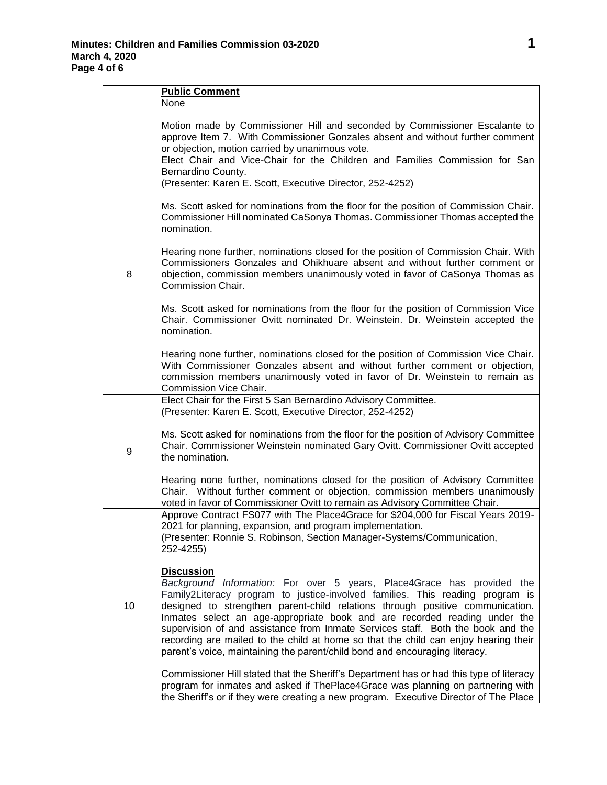$\blacksquare$ 

|    | <b>Public Comment</b><br>None                                                                                                                                                                                                                                                                                                                                                                                                                                                                                                                                                                       |
|----|-----------------------------------------------------------------------------------------------------------------------------------------------------------------------------------------------------------------------------------------------------------------------------------------------------------------------------------------------------------------------------------------------------------------------------------------------------------------------------------------------------------------------------------------------------------------------------------------------------|
|    | Motion made by Commissioner Hill and seconded by Commissioner Escalante to<br>approve Item 7. With Commissioner Gonzales absent and without further comment<br>or objection, motion carried by unanimous vote.                                                                                                                                                                                                                                                                                                                                                                                      |
|    | Elect Chair and Vice-Chair for the Children and Families Commission for San<br>Bernardino County.<br>(Presenter: Karen E. Scott, Executive Director, 252-4252)                                                                                                                                                                                                                                                                                                                                                                                                                                      |
|    | Ms. Scott asked for nominations from the floor for the position of Commission Chair.<br>Commissioner Hill nominated CaSonya Thomas. Commissioner Thomas accepted the<br>nomination.                                                                                                                                                                                                                                                                                                                                                                                                                 |
| 8  | Hearing none further, nominations closed for the position of Commission Chair. With<br>Commissioners Gonzales and Ohikhuare absent and without further comment or<br>objection, commission members unanimously voted in favor of CaSonya Thomas as<br>Commission Chair.                                                                                                                                                                                                                                                                                                                             |
|    | Ms. Scott asked for nominations from the floor for the position of Commission Vice<br>Chair. Commissioner Ovitt nominated Dr. Weinstein. Dr. Weinstein accepted the<br>nomination.                                                                                                                                                                                                                                                                                                                                                                                                                  |
|    | Hearing none further, nominations closed for the position of Commission Vice Chair.<br>With Commissioner Gonzales absent and without further comment or objection,<br>commission members unanimously voted in favor of Dr. Weinstein to remain as<br>Commission Vice Chair.                                                                                                                                                                                                                                                                                                                         |
|    | Elect Chair for the First 5 San Bernardino Advisory Committee.<br>(Presenter: Karen E. Scott, Executive Director, 252-4252)                                                                                                                                                                                                                                                                                                                                                                                                                                                                         |
| 9  | Ms. Scott asked for nominations from the floor for the position of Advisory Committee<br>Chair. Commissioner Weinstein nominated Gary Ovitt. Commissioner Ovitt accepted<br>the nomination.                                                                                                                                                                                                                                                                                                                                                                                                         |
|    | Hearing none further, nominations closed for the position of Advisory Committee<br>Chair. Without further comment or objection, commission members unanimously<br>voted in favor of Commissioner Ovitt to remain as Advisory Committee Chair.                                                                                                                                                                                                                                                                                                                                                       |
|    | Approve Contract FS077 with The Place4Grace for \$204,000 for Fiscal Years 2019-<br>2021 for planning, expansion, and program implementation.<br>(Presenter: Ronnie S. Robinson, Section Manager-Systems/Communication,<br>252-4255)                                                                                                                                                                                                                                                                                                                                                                |
| 10 | <b>Discussion</b><br>Background Information: For over 5 years, Place4Grace has provided the<br>Family2Literacy program to justice-involved families. This reading program is<br>designed to strengthen parent-child relations through positive communication.<br>Inmates select an age-appropriate book and are recorded reading under the<br>supervision of and assistance from Inmate Services staff. Both the book and the<br>recording are mailed to the child at home so that the child can enjoy hearing their<br>parent's voice, maintaining the parent/child bond and encouraging literacy. |
|    | Commissioner Hill stated that the Sheriff's Department has or had this type of literacy<br>program for inmates and asked if ThePlace4Grace was planning on partnering with<br>the Sheriff's or if they were creating a new program. Executive Director of The Place                                                                                                                                                                                                                                                                                                                                 |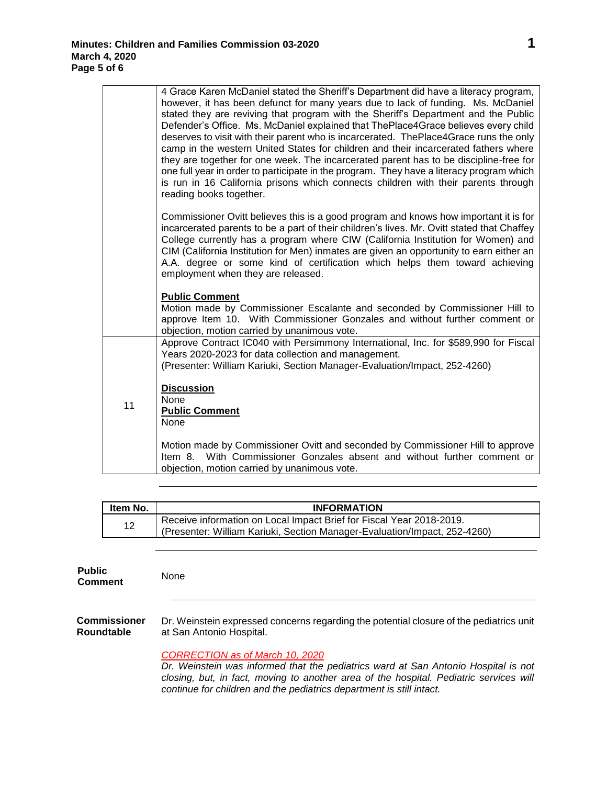|    | 4 Grace Karen McDaniel stated the Sheriff's Department did have a literacy program,<br>however, it has been defunct for many years due to lack of funding. Ms. McDaniel<br>stated they are reviving that program with the Sheriff's Department and the Public<br>Defender's Office. Ms. McDaniel explained that ThePlace4Grace believes every child<br>deserves to visit with their parent who is incarcerated. ThePlace4Grace runs the only<br>camp in the western United States for children and their incarcerated fathers where<br>they are together for one week. The incarcerated parent has to be discipline-free for<br>one full year in order to participate in the program. They have a literacy program which |
|----|--------------------------------------------------------------------------------------------------------------------------------------------------------------------------------------------------------------------------------------------------------------------------------------------------------------------------------------------------------------------------------------------------------------------------------------------------------------------------------------------------------------------------------------------------------------------------------------------------------------------------------------------------------------------------------------------------------------------------|
|    | is run in 16 California prisons which connects children with their parents through<br>reading books together.                                                                                                                                                                                                                                                                                                                                                                                                                                                                                                                                                                                                            |
|    | Commissioner Ovitt believes this is a good program and knows how important it is for<br>incarcerated parents to be a part of their children's lives. Mr. Ovitt stated that Chaffey<br>College currently has a program where CIW (California Institution for Women) and<br>CIM (California Institution for Men) inmates are given an opportunity to earn either an<br>A.A. degree or some kind of certification which helps them toward achieving<br>employment when they are released.                                                                                                                                                                                                                                   |
|    | <b>Public Comment</b><br>Motion made by Commissioner Escalante and seconded by Commissioner Hill to<br>approve Item 10. With Commissioner Gonzales and without further comment or<br>objection, motion carried by unanimous vote.                                                                                                                                                                                                                                                                                                                                                                                                                                                                                        |
|    | Approve Contract IC040 with Persimmony International, Inc. for \$589,990 for Fiscal<br>Years 2020-2023 for data collection and management.                                                                                                                                                                                                                                                                                                                                                                                                                                                                                                                                                                               |
| 11 | (Presenter: William Kariuki, Section Manager-Evaluation/Impact, 252-4260)<br><b>Discussion</b><br>None<br><b>Public Comment</b><br><b>None</b>                                                                                                                                                                                                                                                                                                                                                                                                                                                                                                                                                                           |
|    | Motion made by Commissioner Ovitt and seconded by Commissioner Hill to approve<br>Item 8. With Commissioner Gonzales absent and without further comment or<br>objection, motion carried by unanimous vote.                                                                                                                                                                                                                                                                                                                                                                                                                                                                                                               |

| ltem No. | <b>INFORMATION</b>                                                        |
|----------|---------------------------------------------------------------------------|
| 12       | Receive information on Local Impact Brief for Fiscal Year 2018-2019.      |
|          | (Presenter: William Kariuki, Section Manager-Evaluation/Impact, 252-4260) |

**Public Comment** None

*<sup>1</sup>***Commissioner Roundtable** Dr. Weinstein expressed concerns regarding the potential closure of the pediatrics unit at San Antonio Hospital.

*CORRECTION as of March 10, 2020* 

*Dr. Weinstein was informed that the pediatrics ward at San Antonio Hospital is not closing, but, in fact, moving to another area of the hospital. Pediatric services will continue for children and the pediatrics department is still intact.*